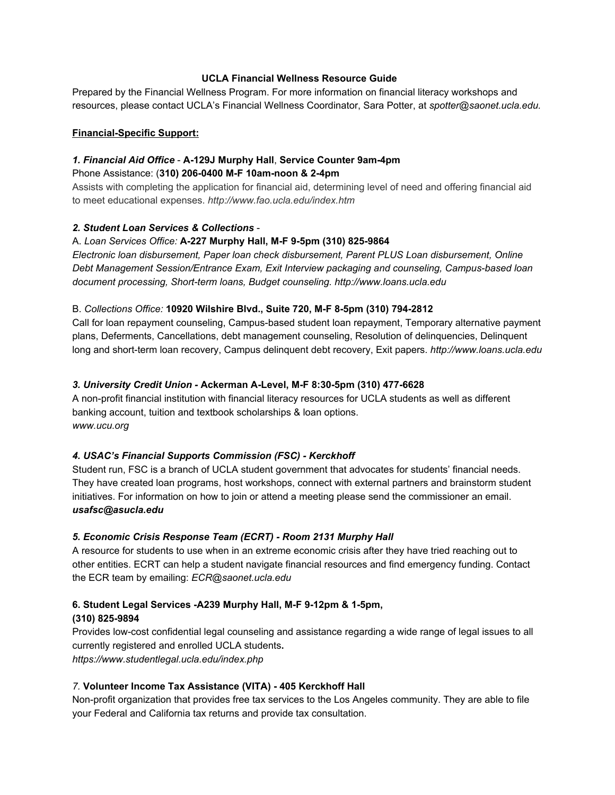# **UCLA Financial Wellness Resource Guide**

Prepared by the Financial Wellness Program. For more information on financial literacy workshops and resources, please contact UCLA's Financial Wellness Coordinator, Sara Potter, at *spotter@saonet.ucla.edu.*

#### **Financial-Specific Support:**

# *1.Financial Aid Office* **A129J Murphy Hall**, **Service Counter 9am4pm**

# Phone Assistance: (**310) 2060400 MF 10amnoon & 24pm**

Assists with completing the application for financial aid, determining level of need and offering financial aid to meet educational expenses. *http://www.fao.ucla.edu/index.htm*

## *2. Student Loan Services & Collections*

# A. *Loan Services Office:* **A227 Murphy Hall, MF 95pm (310) 8259864**

*Electronic loan disbursement, Paper loan check disbursement, Parent PLUS Loan disbursement, Online Debt Management Session/Entrance Exam, Exit Interview packaging and counseling, Campusbased loan*  $document$  *processing, Short-term loans, Budget counseling. http://www.loans.ucla.edu* 

# B. *Collections Office:* **10920 Wilshire Blvd., Suite 720,MF 85pm (310) 7942812**

Call for loan repayment counseling, Campus-based student loan repayment, Temporary alternative payment plans, Deferments, Cancellations, debt management counseling, Resolution of delinquencies, Delinquent long and short-term loan recovery, Campus delinquent debt recovery, Exit papers. *http://www.loans.ucla.edu* 

# *3. University Credit Union* **Ackerman ALevel, MF 8:305pm (310) 4776628**

A non-profit financial institution with financial literacy resources for UCLA students as well as different banking account, tuition and textbook scholarships & loan options. *www.ucu.org*

# *4. USAC's Financial Supports Commission (FSC) Kerckhoff*

Student run, FSC is a branch of UCLA student government that advocates for students' financial needs. They have created loan programs, host workshops, connect with external partners and brainstorm student initiatives. For information on how to join or attend a meeting please send the commissioner an email. *usafsc@asucla.edu*

## *5. Economic Crisis Response Team (ECRT) Room 2131 Murphy Hall*

A resource for students to use when in an extreme economic crisis after they have tried reaching out to other entities. ECRT can help a student navigate financial resources and find emergency funding. Contact the ECR team by emailing: *ECR@saonet.ucla.edu*

## **6. Student Legal Services A239 Murphy Hall, MF 912pm & 15pm, (310) 8259894**

Provides low-cost confidential legal counseling and assistance regarding a wide range of legal issues to all currently registered and enrolled UCLA students**.** *<https://www.studentlegal.ucla.edu/index.php>*

## *7.* **Volunteer Income Tax Assistance (VITA) 405 Kerckhoff Hall**

Non-profit organization that provides free tax services to the Los Angeles community. They are able to file your Federal and California tax returns and provide tax consultation.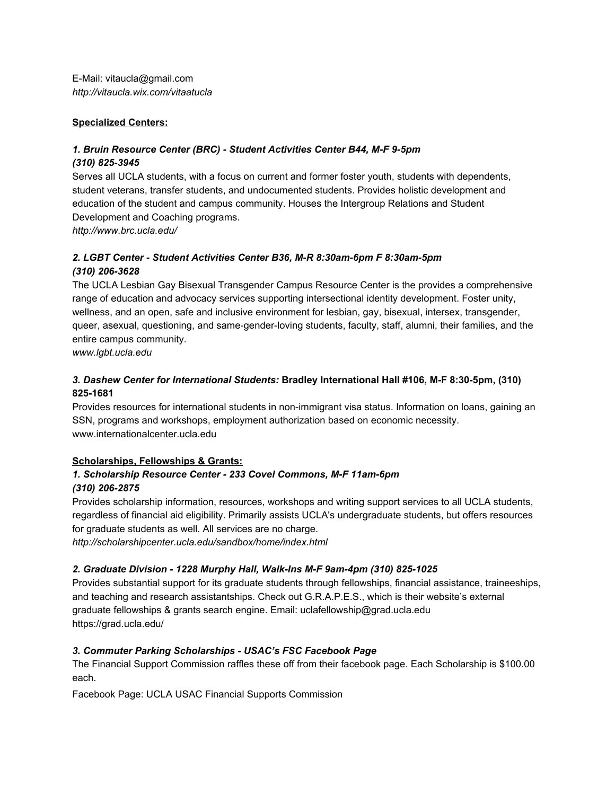E-Mail: vitaucla@gmail.com *<http://vitaucla.wix.com/vitaatucla>*

## **Specialized Centers:**

# *1. Bruin Resource Center (BRC) Student Activities Center B44, MF 95pm*

#### *(310) 8253945*

Serves all UCLA students, with a focus on current and former foster youth, students with dependents, student veterans, transfer students, and undocumented students. Provides holistic development and education of the student and campus community. Houses the Intergroup Relations and Student Development and Coaching programs.

*<http://www.brc.ucla.edu/>*

# *2. LGBT Center Student Activities Center B36, MR 8:30am6pm F 8:30am5pm (310) 2063628*

The UCLA Lesbian Gay Bisexual Transgender Campus Resource Center is the provides a comprehensive range of education and advocacy services supporting intersectional identity development. Foster unity, wellness, and an open, safe and inclusive environment for lesbian, gay, bisexual, intersex, transgender, queer, asexual, questioning, and same-gender-loving students, faculty, staff, alumni, their families, and the entire campus community.

*www.lgbt.ucla.edu*

# *3. Dashew Center for International Students:* **Bradley International Hall #106, MF 8:305pm, (310) 8251681**

Provides resources for international students in non-immigrant visa status. Information on loans, gaining an SSN, programs and workshops, employment authorization based on economic necessity. www.internationalcenter.ucla.edu

## **Scholarships, Fellowships & Grants:**

# *1. Scholarship Resource Center 233 Covel Commons, MF 11am6pm (310) 2062875*

Provides scholarship information, resources, workshops and writing support services to all UCLA students, regardless of financial aid eligibility. Primarily assists UCLA's undergraduate students, but offers resources for graduate students as well. All services are no charge.

*<http://scholarshipcenter.ucla.edu/sandbox/home/index.html>*

## *2. Graduate Division 1228 Murphy Hall, WalkIns MF 9am4pm (310) 8251025*

Provides substantial support for its graduate students through fellowships, financial assistance, traineeships, and teaching and research assistantships. Check out G.R.A.P.E.S., which is their website's external graduate fellowships & grants search engine. Email: uclafellowship@grad.ucla.edu <https://grad.ucla.edu/>

## *3. Commuter Parking Scholarships USAC's FSC Facebook Page*

The Financial Support Commission raffles these off from their facebook page. Each Scholarship is \$100.00 each.

Facebook Page: UCLA USAC Financial Supports Commission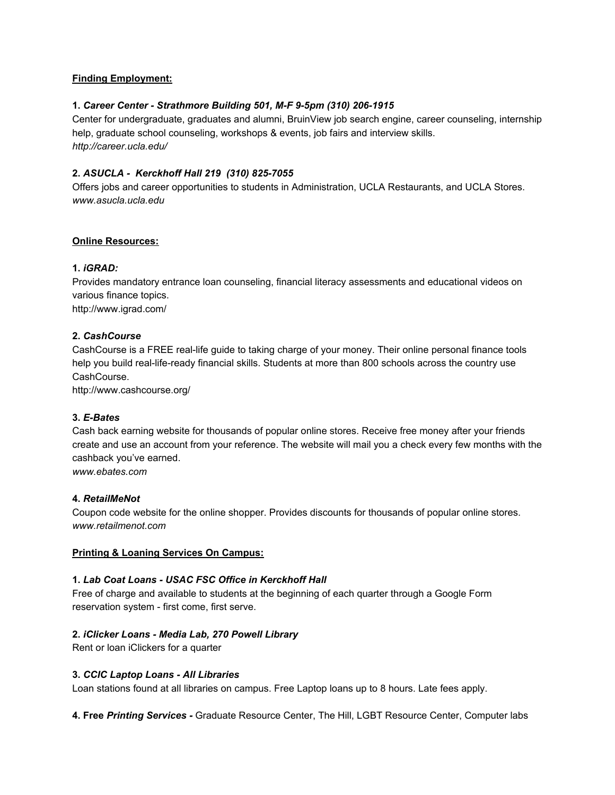## **Finding Employment:**

## **1.** *Career Center Strathmore Building 501, MF 95pm (310) 2061915*

Center for undergraduate, graduates and alumni, BruinView job search engine, career counseling, internship help, graduate school counseling, workshops & events, job fairs and interview skills. *<http://career.ucla.edu/>*

## **2.** *ASUCLA Kerckhoff Hall 219 (310) 8257055*

Offers jobs and career opportunities to students in Administration, UCLA Restaurants, and UCLA Stores. *[www.asucla.ucla.edu](http://www.asucla.ucla.edu/)*

#### **Online Resources:**

### **1.***iGRAD:*

Provides mandatory entrance loan counseling, financial literacy assessments and educational videos on various finance topics. <http://www.igrad.com/>

#### **2.** *CashCourse*

CashCourse is a FREE real-life guide to taking charge of your money. Their online personal finance tools help you build real-life-ready financial skills. Students at more than 800 schools across the country use CashCourse.

<http://www.cashcourse.org/>

#### **3.** *EBates*

Cash back earning website for thousands of popular online stores. Receive free money after your friends create and use an account from your reference. The website will mail you a check every few months with the cashback you've earned.

*www.ebates.com*

#### **4.** *RetailMeNot*

Coupon code website for the online shopper. Provides discounts for thousands of popular online stores. *[www.retailmenot.com](http://www.retailmenot.com/?keyword=retailmenot&matchtype=e&mtype=retailmenot&queryStr=retailmenot&utm_medium=cpc&utm_source=bing&utm_campaign=RMN_Brand&utm_content=RMN_Brand&utm_term=retailmenot&SID=5cb3cadf-43c1-4c66-b3da-aa5af2401089&ch=cpc_b)*

#### **Printing & Loaning Services On Campus:**

### **1.** *Lab Coat Loans USAC FSC Office in Kerckhoff Hall*

Free of charge and available to students at the beginning of each quarter through a Google Form reservation system - first come, first serve.

#### **2.***iClicker Loans Media Lab, 270 Powell Library*

Rent or loan iClickers for a quarter

#### **3.** *CCIC Laptop Loans All Libraries*

Loan stations found at all libraries on campus. Free Laptop loans up to 8 hours. Late fees apply.

**4. Free** *Printing Services* Graduate Resource Center, The Hill, LGBT Resource Center, Computer labs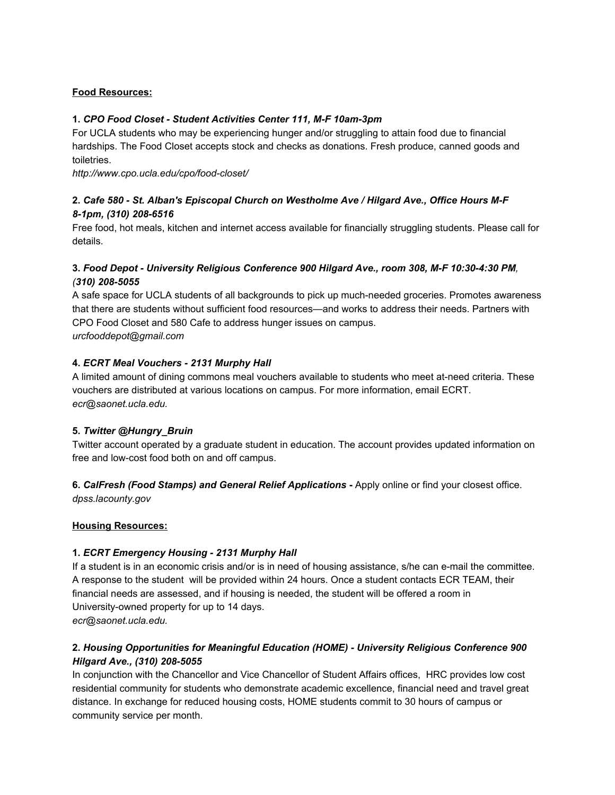## **Food Resources:**

# **1.** *CPO Food Closet Student Activities Center 111, MF 10am3pm*

For UCLA students who may be experiencing hunger and/or struggling to attain food due to financial hardships. The Food Closet accepts stock and checks as donations. Fresh produce, canned goods and toiletries.

http://www.cpo.ucla.edu/cpo/food-closet/

# **2.** *Cafe 580 St. Alban's Episcopal Church on Westholme Ave / Hilgard Ave., Office Hours MF* 8-1pm, (310) 208-6516

Free food, hot meals, kitchen and internet access available for financially struggling students. Please call for details.

# **3.** *Food Depot University Religious Conference 900 Hilgard Ave., room 308, MF 10:304:30 PM, (310) 2085055*

A safe space for UCLA students of all backgrounds to pick up much-needed groceries. Promotes awareness that there are students without sufficient food resources—and works to address their needs. Partners with CPO Food Closet and 580 Cafe to address hunger issues on campus. *urcfooddepot@gmail.com*

## **4.** *ECRT Meal Vouchers 2131 Murphy Hall*

A limited amount of dining commons meal vouchers available to students who meet at-need criteria. These vouchers are distributed at various locations on campus. For more information, email ECRT. *ecr@saonet.ucla.edu.*

## **5.** *Twitter @Hungry\_Bruin*

Twitter account operated by a graduate student in education. The account provides updated information on free and low-cost food both on and off campus.

**6.** *CalFresh (Food Stamps) and General Relief Applications* Apply online or find your closest office. *dpss.lacounty.gov*

## **Housing Resources:**

## **1.** *ECRT Emergency Housing 2131 Murphy Hall*

If a student is in an economic crisis and/or is in need of housing assistance, s/he can email the committee. A response to the student will be provided within 24 hours. Once a student contacts ECR TEAM, their financial needs are assessed, and if housing is needed, the student will be offered a room in University-owned property for up to 14 days. *ecr@saonet.ucla.edu.*

# **2.** *Housing Opportunities for Meaningful Education (HOME) University Religious Conference 900 Hilgard Ave., (310) 208-5055*

In conjunction with the Chancellor and Vice Chancellor of Student Affairs offices, HRC provides low cost residential community for students who demonstrate academic excellence, financial need and travel great distance. In exchange for reduced housing costs, HOME students commit to 30 hours of campus or community service per month.